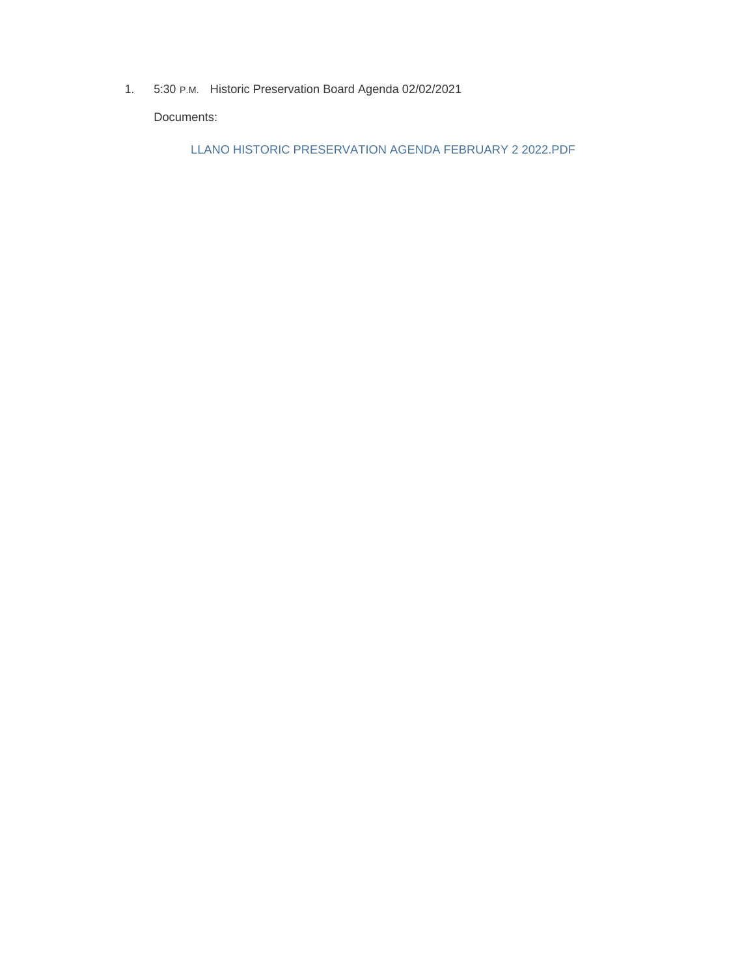1. 5:30 P.M. Historic Preservation Board Agenda 02/02/2021

Documents:

LLANO HISTORIC PRESERVATION AGENDA FEBRUARY 2 2022.PDF